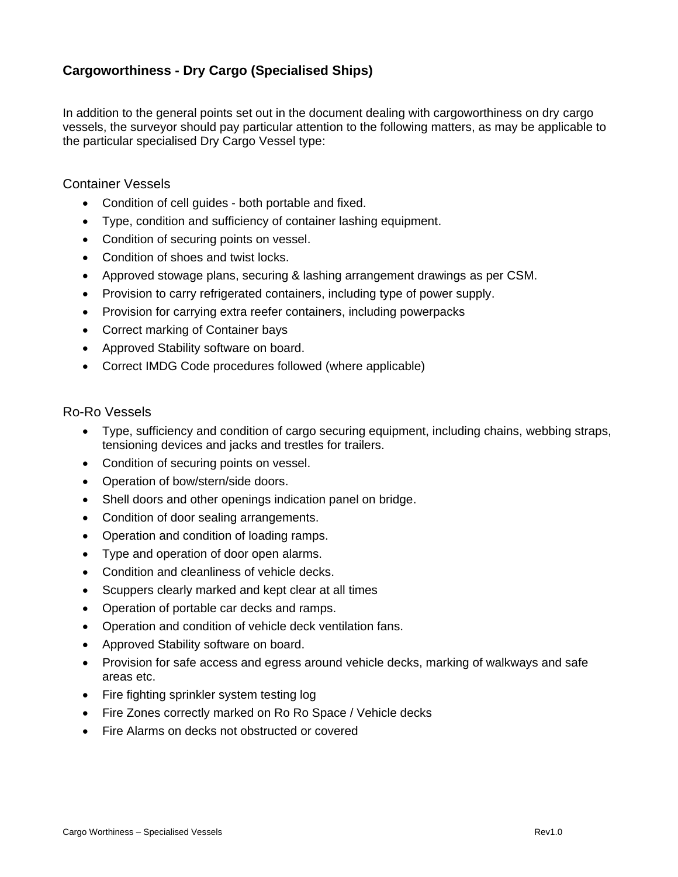## **Cargoworthiness - Dry Cargo (Specialised Ships)**

In addition to the general points set out in the document dealing with cargoworthiness on dry cargo vessels, the surveyor should pay particular attention to the following matters, as may be applicable to the particular specialised Dry Cargo Vessel type:

Container Vessels

- Condition of cell guides both portable and fixed.
- Type, condition and sufficiency of container lashing equipment.
- Condition of securing points on vessel.
- Condition of shoes and twist locks.
- Approved stowage plans, securing & lashing arrangement drawings as per CSM.
- Provision to carry refrigerated containers, including type of power supply.
- Provision for carrying extra reefer containers, including powerpacks
- Correct marking of Container bays
- Approved Stability software on board.
- Correct IMDG Code procedures followed (where applicable)

Ro-Ro Vessels

- Type, sufficiency and condition of cargo securing equipment, including chains, webbing straps, tensioning devices and jacks and trestles for trailers.
- Condition of securing points on vessel.
- Operation of bow/stern/side doors.
- Shell doors and other openings indication panel on bridge.
- Condition of door sealing arrangements.
- Operation and condition of loading ramps.
- Type and operation of door open alarms.
- Condition and cleanliness of vehicle decks.
- Scuppers clearly marked and kept clear at all times
- Operation of portable car decks and ramps.
- Operation and condition of vehicle deck ventilation fans.
- Approved Stability software on board.
- Provision for safe access and egress around vehicle decks, marking of walkways and safe areas etc.
- Fire fighting sprinkler system testing log
- Fire Zones correctly marked on Ro Ro Space / Vehicle decks
- Fire Alarms on decks not obstructed or covered